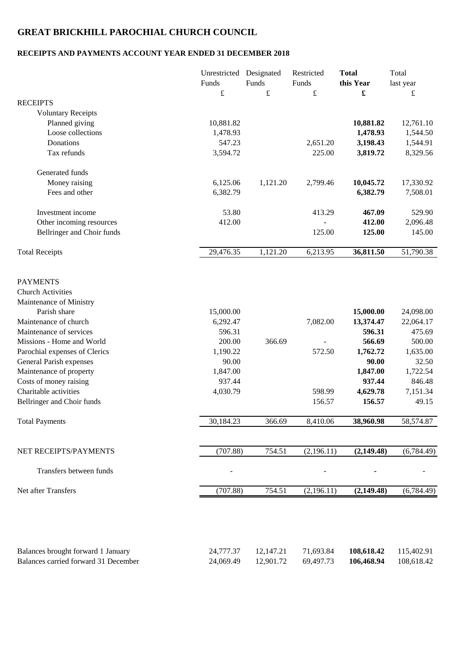## **GREAT BRICKHILL PAROCHIAL CHURCH COUNCIL**

## **RECEIPTS AND PAYMENTS ACCOUNT YEAR ENDED 31 DECEMBER 2018**

| $\pounds$<br>$\pounds$<br>$\pounds$<br>£<br><b>RECEIPTS</b><br><b>Voluntary Receipts</b><br>Planned giving<br>10,881.82<br>10,881.82<br>Loose collections<br>1,478.93<br>1,478.93<br>Donations<br>547.23<br>2,651.20<br>3,198.43<br>Tax refunds<br>3,594.72<br>3,819.72<br>225.00<br>Generated funds<br>6,125.06<br>1,121.20<br>Money raising<br>2,799.46<br>10,045.72<br>Fees and other<br>6,382.79<br>6,382.79<br>Investment income<br>53.80<br>413.29<br>467.09<br>412.00<br>Other incoming resources<br>412.00<br>Bellringer and Choir funds<br>125.00<br>125.00<br>29,476.35<br>1,121.20<br>6,213.95<br>36,811.50<br><b>Total Receipts</b><br><b>PAYMENTS</b><br><b>Church Activities</b><br>Maintenance of Ministry<br>Parish share<br>15,000.00<br>15,000.00<br>Maintenance of church<br>6,292.47<br>7,082.00<br>13,374.47<br>Maintenance of services<br>596.31<br>596.31<br>Missions - Home and World<br>200.00<br>366.69<br>566.69<br>Parochial expenses of Clerics<br>1,190.22<br>572.50<br>1,762.72<br>90.00<br>90.00<br>General Parish expenses<br>Maintenance of property<br>1,847.00<br>1,847.00<br>Costs of money raising<br>937.44<br>937.44<br>Charitable activities<br>4,030.79<br>598.99<br>4,629.78<br>156.57<br>Bellringer and Choir funds<br>156.57<br><b>Total Payments</b><br>30,184.23<br>366.69<br>8,410.06<br>38,960.98<br>(707.88)<br>754.51<br>NET RECEIPTS/PAYMENTS<br>(2,196.11)<br>(2,149.48)<br>Transfers between funds<br>Net after Transfers<br>(707.88)<br>754.51<br>(2,196.11)<br>(2,149.48) | Unrestricted Designated<br>Funds | Funds | Restricted<br>Funds | <b>Total</b><br>this Year | Total<br>last year       |
|-----------------------------------------------------------------------------------------------------------------------------------------------------------------------------------------------------------------------------------------------------------------------------------------------------------------------------------------------------------------------------------------------------------------------------------------------------------------------------------------------------------------------------------------------------------------------------------------------------------------------------------------------------------------------------------------------------------------------------------------------------------------------------------------------------------------------------------------------------------------------------------------------------------------------------------------------------------------------------------------------------------------------------------------------------------------------------------------------------------------------------------------------------------------------------------------------------------------------------------------------------------------------------------------------------------------------------------------------------------------------------------------------------------------------------------------------------------------------------------------------------------------------------------|----------------------------------|-------|---------------------|---------------------------|--------------------------|
|                                                                                                                                                                                                                                                                                                                                                                                                                                                                                                                                                                                                                                                                                                                                                                                                                                                                                                                                                                                                                                                                                                                                                                                                                                                                                                                                                                                                                                                                                                                                   |                                  |       |                     |                           | £                        |
|                                                                                                                                                                                                                                                                                                                                                                                                                                                                                                                                                                                                                                                                                                                                                                                                                                                                                                                                                                                                                                                                                                                                                                                                                                                                                                                                                                                                                                                                                                                                   |                                  |       |                     |                           |                          |
|                                                                                                                                                                                                                                                                                                                                                                                                                                                                                                                                                                                                                                                                                                                                                                                                                                                                                                                                                                                                                                                                                                                                                                                                                                                                                                                                                                                                                                                                                                                                   |                                  |       |                     |                           |                          |
|                                                                                                                                                                                                                                                                                                                                                                                                                                                                                                                                                                                                                                                                                                                                                                                                                                                                                                                                                                                                                                                                                                                                                                                                                                                                                                                                                                                                                                                                                                                                   |                                  |       |                     |                           | 12,761.10                |
|                                                                                                                                                                                                                                                                                                                                                                                                                                                                                                                                                                                                                                                                                                                                                                                                                                                                                                                                                                                                                                                                                                                                                                                                                                                                                                                                                                                                                                                                                                                                   |                                  |       |                     |                           | 1,544.50                 |
|                                                                                                                                                                                                                                                                                                                                                                                                                                                                                                                                                                                                                                                                                                                                                                                                                                                                                                                                                                                                                                                                                                                                                                                                                                                                                                                                                                                                                                                                                                                                   |                                  |       |                     |                           | 1,544.91                 |
|                                                                                                                                                                                                                                                                                                                                                                                                                                                                                                                                                                                                                                                                                                                                                                                                                                                                                                                                                                                                                                                                                                                                                                                                                                                                                                                                                                                                                                                                                                                                   |                                  |       |                     |                           | 8,329.56                 |
|                                                                                                                                                                                                                                                                                                                                                                                                                                                                                                                                                                                                                                                                                                                                                                                                                                                                                                                                                                                                                                                                                                                                                                                                                                                                                                                                                                                                                                                                                                                                   |                                  |       |                     |                           |                          |
|                                                                                                                                                                                                                                                                                                                                                                                                                                                                                                                                                                                                                                                                                                                                                                                                                                                                                                                                                                                                                                                                                                                                                                                                                                                                                                                                                                                                                                                                                                                                   |                                  |       |                     |                           | 17,330.92                |
|                                                                                                                                                                                                                                                                                                                                                                                                                                                                                                                                                                                                                                                                                                                                                                                                                                                                                                                                                                                                                                                                                                                                                                                                                                                                                                                                                                                                                                                                                                                                   |                                  |       |                     |                           | 7,508.01                 |
|                                                                                                                                                                                                                                                                                                                                                                                                                                                                                                                                                                                                                                                                                                                                                                                                                                                                                                                                                                                                                                                                                                                                                                                                                                                                                                                                                                                                                                                                                                                                   |                                  |       |                     |                           | 529.90                   |
|                                                                                                                                                                                                                                                                                                                                                                                                                                                                                                                                                                                                                                                                                                                                                                                                                                                                                                                                                                                                                                                                                                                                                                                                                                                                                                                                                                                                                                                                                                                                   |                                  |       |                     |                           | 2,096.48                 |
|                                                                                                                                                                                                                                                                                                                                                                                                                                                                                                                                                                                                                                                                                                                                                                                                                                                                                                                                                                                                                                                                                                                                                                                                                                                                                                                                                                                                                                                                                                                                   |                                  |       |                     |                           | 145.00                   |
|                                                                                                                                                                                                                                                                                                                                                                                                                                                                                                                                                                                                                                                                                                                                                                                                                                                                                                                                                                                                                                                                                                                                                                                                                                                                                                                                                                                                                                                                                                                                   |                                  |       |                     |                           | 51,790.38                |
|                                                                                                                                                                                                                                                                                                                                                                                                                                                                                                                                                                                                                                                                                                                                                                                                                                                                                                                                                                                                                                                                                                                                                                                                                                                                                                                                                                                                                                                                                                                                   |                                  |       |                     |                           |                          |
|                                                                                                                                                                                                                                                                                                                                                                                                                                                                                                                                                                                                                                                                                                                                                                                                                                                                                                                                                                                                                                                                                                                                                                                                                                                                                                                                                                                                                                                                                                                                   |                                  |       |                     |                           |                          |
|                                                                                                                                                                                                                                                                                                                                                                                                                                                                                                                                                                                                                                                                                                                                                                                                                                                                                                                                                                                                                                                                                                                                                                                                                                                                                                                                                                                                                                                                                                                                   |                                  |       |                     |                           |                          |
|                                                                                                                                                                                                                                                                                                                                                                                                                                                                                                                                                                                                                                                                                                                                                                                                                                                                                                                                                                                                                                                                                                                                                                                                                                                                                                                                                                                                                                                                                                                                   |                                  |       |                     |                           |                          |
|                                                                                                                                                                                                                                                                                                                                                                                                                                                                                                                                                                                                                                                                                                                                                                                                                                                                                                                                                                                                                                                                                                                                                                                                                                                                                                                                                                                                                                                                                                                                   |                                  |       |                     |                           | 24,098.00                |
|                                                                                                                                                                                                                                                                                                                                                                                                                                                                                                                                                                                                                                                                                                                                                                                                                                                                                                                                                                                                                                                                                                                                                                                                                                                                                                                                                                                                                                                                                                                                   |                                  |       |                     |                           | 22,064.17                |
|                                                                                                                                                                                                                                                                                                                                                                                                                                                                                                                                                                                                                                                                                                                                                                                                                                                                                                                                                                                                                                                                                                                                                                                                                                                                                                                                                                                                                                                                                                                                   |                                  |       |                     |                           | 475.69                   |
|                                                                                                                                                                                                                                                                                                                                                                                                                                                                                                                                                                                                                                                                                                                                                                                                                                                                                                                                                                                                                                                                                                                                                                                                                                                                                                                                                                                                                                                                                                                                   |                                  |       |                     |                           | 500.00                   |
|                                                                                                                                                                                                                                                                                                                                                                                                                                                                                                                                                                                                                                                                                                                                                                                                                                                                                                                                                                                                                                                                                                                                                                                                                                                                                                                                                                                                                                                                                                                                   |                                  |       |                     |                           | 1,635.00                 |
|                                                                                                                                                                                                                                                                                                                                                                                                                                                                                                                                                                                                                                                                                                                                                                                                                                                                                                                                                                                                                                                                                                                                                                                                                                                                                                                                                                                                                                                                                                                                   |                                  |       |                     |                           | 32.50                    |
|                                                                                                                                                                                                                                                                                                                                                                                                                                                                                                                                                                                                                                                                                                                                                                                                                                                                                                                                                                                                                                                                                                                                                                                                                                                                                                                                                                                                                                                                                                                                   |                                  |       |                     |                           | 1,722.54                 |
|                                                                                                                                                                                                                                                                                                                                                                                                                                                                                                                                                                                                                                                                                                                                                                                                                                                                                                                                                                                                                                                                                                                                                                                                                                                                                                                                                                                                                                                                                                                                   |                                  |       |                     |                           | 846.48                   |
|                                                                                                                                                                                                                                                                                                                                                                                                                                                                                                                                                                                                                                                                                                                                                                                                                                                                                                                                                                                                                                                                                                                                                                                                                                                                                                                                                                                                                                                                                                                                   |                                  |       |                     |                           | 7,151.34                 |
|                                                                                                                                                                                                                                                                                                                                                                                                                                                                                                                                                                                                                                                                                                                                                                                                                                                                                                                                                                                                                                                                                                                                                                                                                                                                                                                                                                                                                                                                                                                                   |                                  |       |                     |                           | 49.15                    |
|                                                                                                                                                                                                                                                                                                                                                                                                                                                                                                                                                                                                                                                                                                                                                                                                                                                                                                                                                                                                                                                                                                                                                                                                                                                                                                                                                                                                                                                                                                                                   |                                  |       |                     |                           | 58,574.87                |
|                                                                                                                                                                                                                                                                                                                                                                                                                                                                                                                                                                                                                                                                                                                                                                                                                                                                                                                                                                                                                                                                                                                                                                                                                                                                                                                                                                                                                                                                                                                                   |                                  |       |                     |                           |                          |
|                                                                                                                                                                                                                                                                                                                                                                                                                                                                                                                                                                                                                                                                                                                                                                                                                                                                                                                                                                                                                                                                                                                                                                                                                                                                                                                                                                                                                                                                                                                                   |                                  |       |                     |                           | (6,784.49)               |
|                                                                                                                                                                                                                                                                                                                                                                                                                                                                                                                                                                                                                                                                                                                                                                                                                                                                                                                                                                                                                                                                                                                                                                                                                                                                                                                                                                                                                                                                                                                                   |                                  |       |                     |                           |                          |
|                                                                                                                                                                                                                                                                                                                                                                                                                                                                                                                                                                                                                                                                                                                                                                                                                                                                                                                                                                                                                                                                                                                                                                                                                                                                                                                                                                                                                                                                                                                                   |                                  |       |                     |                           | (6,784.49)               |
|                                                                                                                                                                                                                                                                                                                                                                                                                                                                                                                                                                                                                                                                                                                                                                                                                                                                                                                                                                                                                                                                                                                                                                                                                                                                                                                                                                                                                                                                                                                                   |                                  |       |                     |                           |                          |
|                                                                                                                                                                                                                                                                                                                                                                                                                                                                                                                                                                                                                                                                                                                                                                                                                                                                                                                                                                                                                                                                                                                                                                                                                                                                                                                                                                                                                                                                                                                                   |                                  |       |                     |                           |                          |
| Balances brought forward 1 January<br>24,777.37<br>12,147.21<br>71,693.84<br>108,618.42<br>Balances carried forward 31 December<br>24,069.49<br>12,901.72<br>69,497.73<br>106,468.94                                                                                                                                                                                                                                                                                                                                                                                                                                                                                                                                                                                                                                                                                                                                                                                                                                                                                                                                                                                                                                                                                                                                                                                                                                                                                                                                              |                                  |       |                     |                           | 115,402.91<br>108,618.42 |